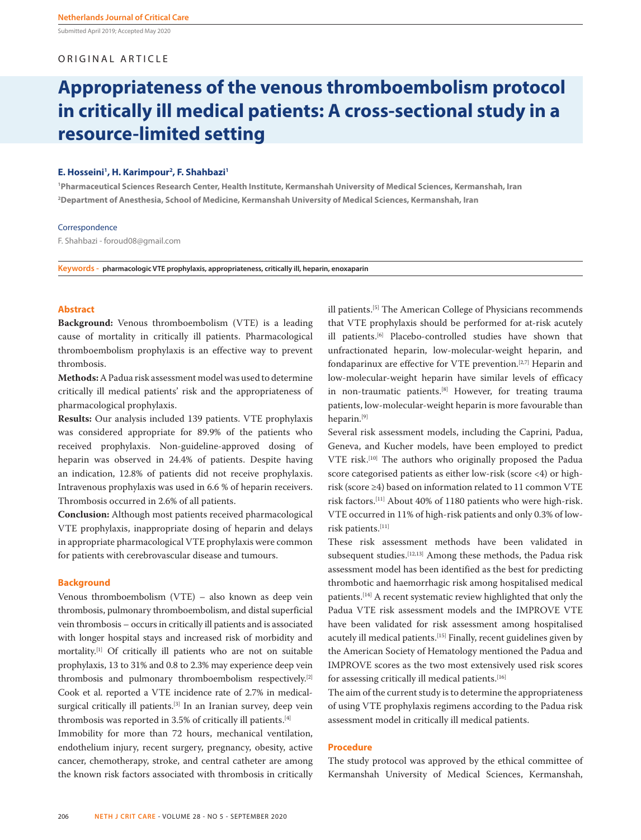Submitted April 2019; Accepted May 2020

## ORIGINAL ARTICLE

# **Appropriateness of the venous thromboembolism protocol in critically ill medical patients: A cross-sectional study in a resource-limited setting**

## **E. Hosseini1 , H. Karimpour2 , F. Shahbazi1**

**1 Pharmaceutical Sciences Research Center, Health Institute, Kermanshah University of Medical Sciences, Kermanshah, Iran 2 Department of Anesthesia, School of Medicine, Kermanshah University of Medical Sciences, Kermanshah, Iran**

## Correspondence

F. Shahbazi - foroud08@gmail.com

**Keywords - pharmacologic VTE prophylaxis, appropriateness, critically ill, heparin, enoxaparin** 

## **Abstract**

**Background:** Venous thromboembolism (VTE) is a leading cause of mortality in critically ill patients. Pharmacological thromboembolism prophylaxis is an effective way to prevent thrombosis.

**Methods:** A Padua risk assessment model was used to determine critically ill medical patients' risk and the appropriateness of pharmacological prophylaxis.

**Results:** Our analysis included 139 patients. VTE prophylaxis was considered appropriate for 89.9% of the patients who received prophylaxis. Non-guideline-approved dosing of heparin was observed in 24.4% of patients. Despite having an indication, 12.8% of patients did not receive prophylaxis. Intravenous prophylaxis was used in 6.6 % of heparin receivers. Thrombosis occurred in 2.6% of all patients.

**Conclusion:** Although most patients received pharmacological VTE prophylaxis, inappropriate dosing of heparin and delays in appropriate pharmacological VTE prophylaxis were common for patients with cerebrovascular disease and tumours.

## **Background**

Venous thromboembolism (VTE) – also known as deep vein thrombosis, pulmonary thromboembolism, and distal superficial vein thrombosis – occurs in critically ill patients and is associated with longer hospital stays and increased risk of morbidity and mortality.[1] Of critically ill patients who are not on suitable prophylaxis, 13 to 31% and 0.8 to 2.3% may experience deep vein thrombosis and pulmonary thromboembolism respectively.[2] Cook et al. reported a VTE incidence rate of 2.7% in medicalsurgical critically ill patients.<sup>[3]</sup> In an Iranian survey, deep vein thrombosis was reported in 3.5% of critically ill patients.[4] Immobility for more than 72 hours, mechanical ventilation,

endothelium injury, recent surgery, pregnancy, obesity, active cancer, chemotherapy, stroke, and central catheter are among the known risk factors associated with thrombosis in critically ill patients.[5] The American College of Physicians recommends that VTE prophylaxis should be performed for at-risk acutely ill patients.[6] Placebo-controlled studies have shown that unfractionated heparin, low-molecular-weight heparin, and fondaparinux are effective for VTE prevention.[2,7] Heparin and low-molecular-weight heparin have similar levels of efficacy in non-traumatic patients.<sup>[8]</sup> However, for treating trauma patients, low-molecular-weight heparin is more favourable than heparin.[9]

Several risk assessment models, including the Caprini, Padua, Geneva, and Kucher models, have been employed to predict VTE risk.[10] The authors who originally proposed the Padua score categorised patients as either low-risk (score <4) or highrisk (score ≥4) based on information related to 11 common VTE risk factors.[11] About 40% of 1180 patients who were high-risk. VTE occurred in 11% of high-risk patients and only 0.3% of lowrisk patients.[11]

These risk assessment methods have been validated in subsequent studies.<sup>[12,13]</sup> Among these methods, the Padua risk assessment model has been identified as the best for predicting thrombotic and haemorrhagic risk among hospitalised medical patients.<sup>[14]</sup> A recent systematic review highlighted that only the Padua VTE risk assessment models and the IMPROVE VTE have been validated for risk assessment among hospitalised acutely ill medical patients.[15] Finally, recent guidelines given by the American Society of Hematology mentioned the Padua and IMPROVE scores as the two most extensively used risk scores for assessing critically ill medical patients.[16]

The aim of the current study is to determine the appropriateness of using VTE prophylaxis regimens according to the Padua risk assessment model in critically ill medical patients.

### **Procedure**

The study protocol was approved by the ethical committee of Kermanshah University of Medical Sciences, Kermanshah,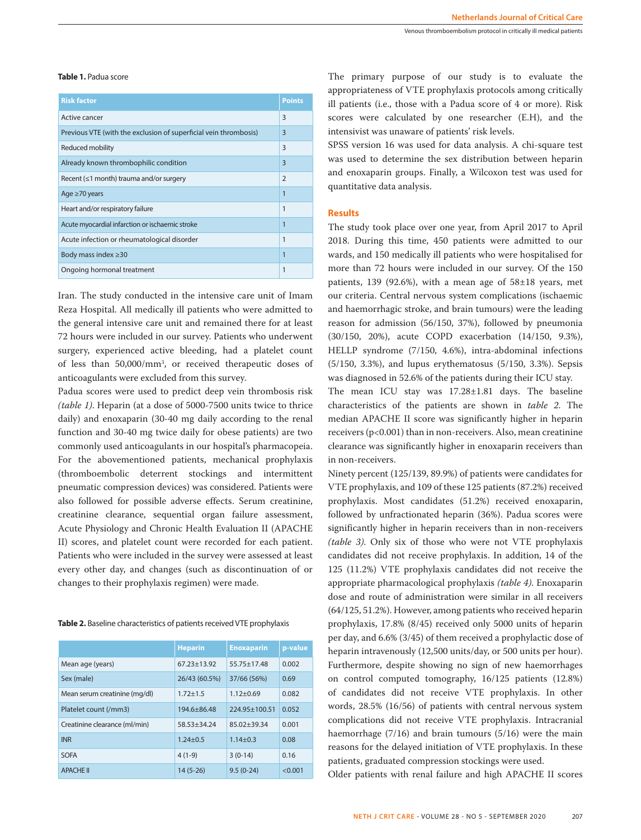**Table 1.** Padua score

| <b>Risk factor</b>                                               | <b>Points</b>  |
|------------------------------------------------------------------|----------------|
| Active cancer                                                    | 3              |
| Previous VTE (with the exclusion of superficial vein thrombosis) | 3              |
| Reduced mobility                                                 | $\overline{3}$ |
| Already known thrombophilic condition                            | $\overline{3}$ |
| Recent $(\leq 1$ month) trauma and/or surgery                    | $\overline{2}$ |
| Age $\geq 70$ years                                              | 1              |
| Heart and/or respiratory failure                                 | 1              |
| Acute myocardial infarction or ischaemic stroke                  | 1              |
| Acute infection or rheumatological disorder                      | $\mathbf{1}$   |
| Body mass index $\geq$ 30                                        | $\overline{1}$ |
| Ongoing hormonal treatment                                       | 1              |

Iran. The study conducted in the intensive care unit of Imam Reza Hospital. All medically ill patients who were admitted to the general intensive care unit and remained there for at least 72 hours were included in our survey. Patients who underwent surgery, experienced active bleeding, had a platelet count of less than 50,000/mm3 , or received therapeutic doses of anticoagulants were excluded from this survey.

Padua scores were used to predict deep vein thrombosis risk *(table 1)*. Heparin (at a dose of 5000-7500 units twice to thrice daily) and enoxaparin (30-40 mg daily according to the renal function and 30-40 mg twice daily for obese patients) are two commonly used anticoagulants in our hospital's pharmacopeia. For the abovementioned patients, mechanical prophylaxis (thromboembolic deterrent stockings and intermittent pneumatic compression devices) was considered. Patients were also followed for possible adverse effects. Serum creatinine, creatinine clearance, sequential organ failure assessment, Acute Physiology and Chronic Health Evaluation II (APACHE II) scores, and platelet count were recorded for each patient. Patients who were included in the survey were assessed at least every other day, and changes (such as discontinuation of or changes to their prophylaxis regimen) were made.

**Table 2.** Baseline characteristics of patients received VTE prophylaxis

|                               | <b>Heparin</b>  | <b>Enoxaparin</b> | p-value |
|-------------------------------|-----------------|-------------------|---------|
| Mean age (years)              | $67.23 + 13.92$ | $55.75 + 17.48$   | 0.002   |
| Sex (male)                    | 26/43 (60.5%)   | 37/66 (56%)       | 0.69    |
| Mean serum creatinine (mg/dl) | $1.72 + 1.5$    | $1.12 + 0.69$     | 0.082   |
| Platelet count (/mm3)         | $194.6 + 86.48$ | 224.95+100.51     | 0.052   |
| Creatinine clearance (ml/min) | $58.53 + 34.24$ | $85.02 + 39.34$   | 0.001   |
| <b>INR</b>                    | $1.24 + 0.5$    | $1.14 + 0.3$      | 0.08    |
| <b>SOFA</b>                   | $4(1-9)$        | $3(0-14)$         | 0.16    |
| <b>APACHE II</b>              | $14(5-26)$      | $9.5(0-24)$       | < 0.001 |

The primary purpose of our study is to evaluate the appropriateness of VTE prophylaxis protocols among critically ill patients (i.e., those with a Padua score of 4 or more). Risk scores were calculated by one researcher (E.H), and the intensivist was unaware of patients' risk levels.

SPSS version 16 was used for data analysis. A chi-square test was used to determine the sex distribution between heparin and enoxaparin groups. Finally, a Wilcoxon test was used for quantitative data analysis.

## **Results**

The study took place over one year, from April 2017 to April 2018. During this time, 450 patients were admitted to our wards, and 150 medically ill patients who were hospitalised for more than 72 hours were included in our survey. Of the 150 patients, 139 (92.6%), with a mean age of 58±18 years, met our criteria. Central nervous system complications (ischaemic and haemorrhagic stroke, and brain tumours) were the leading reason for admission (56/150, 37%), followed by pneumonia (30/150, 20%), acute COPD exacerbation (14/150, 9.3%), HELLP syndrome (7/150, 4.6%), intra-abdominal infections (5/150, 3.3%), and lupus erythematosus (5/150, 3.3%). Sepsis was diagnosed in 52.6% of the patients during their ICU stay.

The mean ICU stay was 17.28±1.81 days. The baseline characteristics of the patients are shown in *table 2*. The median APACHE II score was significantly higher in heparin receivers (p<0.001) than in non-receivers. Also, mean creatinine clearance was significantly higher in enoxaparin receivers than in non-receivers.

Ninety percent (125/139, 89.9%) of patients were candidates for VTE prophylaxis, and 109 of these 125 patients (87.2%) received prophylaxis. Most candidates (51.2%) received enoxaparin, followed by unfractionated heparin (36%). Padua scores were significantly higher in heparin receivers than in non-receivers *(table 3)*. Only six of those who were not VTE prophylaxis candidates did not receive prophylaxis. In addition, 14 of the 125 (11.2%) VTE prophylaxis candidates did not receive the appropriate pharmacological prophylaxis *(table 4)*. Enoxaparin dose and route of administration were similar in all receivers (64/125, 51.2%). However, among patients who received heparin prophylaxis, 17.8% (8/45) received only 5000 units of heparin per day, and 6.6% (3/45) of them received a prophylactic dose of heparin intravenously (12,500 units/day, or 500 units per hour). Furthermore, despite showing no sign of new haemorrhages on control computed tomography, 16/125 patients (12.8%) of candidates did not receive VTE prophylaxis. In other words, 28.5% (16/56) of patients with central nervous system complications did not receive VTE prophylaxis. Intracranial haemorrhage (7/16) and brain tumours (5/16) were the main reasons for the delayed initiation of VTE prophylaxis. In these patients, graduated compression stockings were used.

Older patients with renal failure and high APACHE II scores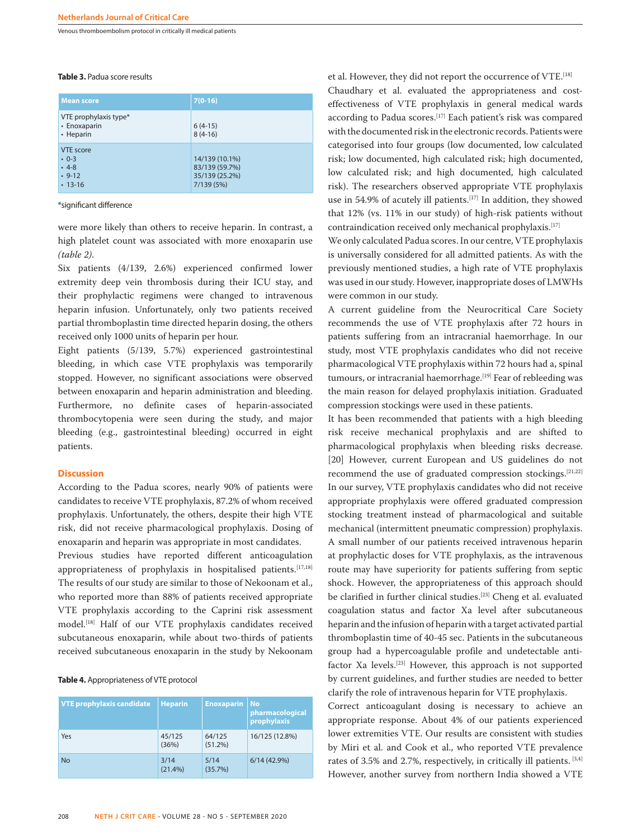Venous thromboembolism protocol in critically ill medical patients

#### **Table 3.** Padua score results

| <b>Mean score</b>                                         | $7(0-16)$                                                        |
|-----------------------------------------------------------|------------------------------------------------------------------|
| VTE prophylaxis type*<br>• Enoxaparin<br>• Heparin        | $6(4-15)$<br>$8(4-16)$                                           |
| VTE score<br>$\cdot$ 0-3<br>$-4-8$<br>$.9-12$<br>$.13-16$ | 14/139 (10.1%)<br>83/139 (59.7%)<br>35/139 (25.2%)<br>7/139 (5%) |

\*significant difference

were more likely than others to receive heparin. In contrast, a high platelet count was associated with more enoxaparin use *(table 2)*.

Six patients (4/139, 2.6%) experienced confirmed lower extremity deep vein thrombosis during their ICU stay, and their prophylactic regimens were changed to intravenous heparin infusion. Unfortunately, only two patients received partial thromboplastin time directed heparin dosing, the others received only 1000 units of heparin per hour.

Eight patients (5/139, 5.7%) experienced gastrointestinal bleeding, in which case VTE prophylaxis was temporarily stopped. However, no significant associations were observed between enoxaparin and heparin administration and bleeding. Furthermore, no definite cases of heparin-associated thrombocytopenia were seen during the study, and major bleeding (e.g., gastrointestinal bleeding) occurred in eight patients.

## **Discussion**

According to the Padua scores, nearly 90% of patients were candidates to receive VTE prophylaxis, 87.2% of whom received prophylaxis. Unfortunately, the others, despite their high VTE risk, did not receive pharmacological prophylaxis. Dosing of enoxaparin and heparin was appropriate in most candidates.

Previous studies have reported different anticoagulation appropriateness of prophylaxis in hospitalised patients.<sup>[17,18]</sup> The results of our study are similar to those of Nekoonam et al., who reported more than 88% of patients received appropriate VTE prophylaxis according to the Caprini risk assessment model.[18] Half of our VTE prophylaxis candidates received subcutaneous enoxaparin, while about two-thirds of patients received subcutaneous enoxaparin in the study by Nekoonam

#### **Table 4.** Appropriateness of VTE protocol

| <b>VTE prophylaxis candidate</b> | <b>Heparin</b>  | <b>Enoxaparin</b> | <b>No</b><br>pharmacological<br>prophylaxis |
|----------------------------------|-----------------|-------------------|---------------------------------------------|
| Yes                              | 45/125<br>(36%) | 64/125<br>(51.2%) | 16/125 (12.8%)                              |
| <b>No</b>                        | 3/14<br>(21.4%) | 5/14<br>(35.7%)   | 6/14(42.9%)                                 |

et al. However, they did not report the occurrence of VTE.[18] Chaudhary et al. evaluated the appropriateness and costeffectiveness of VTE prophylaxis in general medical wards according to Padua scores.<sup>[17]</sup> Each patient's risk was compared with the documented risk in the electronic records. Patients were categorised into four groups (low documented, low calculated risk; low documented, high calculated risk; high documented, low calculated risk; and high documented, high calculated risk). The researchers observed appropriate VTE prophylaxis use in 54.9% of acutely ill patients.<sup>[17]</sup> In addition, they showed that 12% (vs. 11% in our study) of high-risk patients without contraindication received only mechanical prophylaxis.[17]

We only calculated Padua scores. In our centre, VTE prophylaxis is universally considered for all admitted patients. As with the previously mentioned studies, a high rate of VTE prophylaxis was used in our study. However, inappropriate doses of LMWHs were common in our study.

A current guideline from the Neurocritical Care Society recommends the use of VTE prophylaxis after 72 hours in patients suffering from an intracranial haemorrhage. In our study, most VTE prophylaxis candidates who did not receive pharmacological VTE prophylaxis within 72 hours had a, spinal tumours, or intracranial haemorrhage.<sup>[19]</sup> Fear of rebleeding was the main reason for delayed prophylaxis initiation. Graduated compression stockings were used in these patients.

It has been recommended that patients with a high bleeding risk receive mechanical prophylaxis and are shifted to pharmacological prophylaxis when bleeding risks decrease. [20] However, current European and US guidelines do not recommend the use of graduated compression stockings.[21,22] In our survey, VTE prophylaxis candidates who did not receive appropriate prophylaxis were offered graduated compression stocking treatment instead of pharmacological and suitable mechanical (intermittent pneumatic compression) prophylaxis. A small number of our patients received intravenous heparin at prophylactic doses for VTE prophylaxis, as the intravenous route may have superiority for patients suffering from septic shock. However, the appropriateness of this approach should be clarified in further clinical studies.<sup>[23]</sup> Cheng et al. evaluated coagulation status and factor Xa level after subcutaneous heparin and the infusion of heparin with a target activated partial thromboplastin time of 40-45 sec. Patients in the subcutaneous group had a hypercoagulable profile and undetectable antifactor Xa levels.[23] However, this approach is not supported by current guidelines, and further studies are needed to better clarify the role of intravenous heparin for VTE prophylaxis.

Correct anticoagulant dosing is necessary to achieve an appropriate response. About 4% of our patients experienced lower extremities VTE. Our results are consistent with studies by Miri et al. and Cook et al., who reported VTE prevalence rates of 3.5% and 2.7%, respectively, in critically ill patients. [3,4] However, another survey from northern India showed a VTE